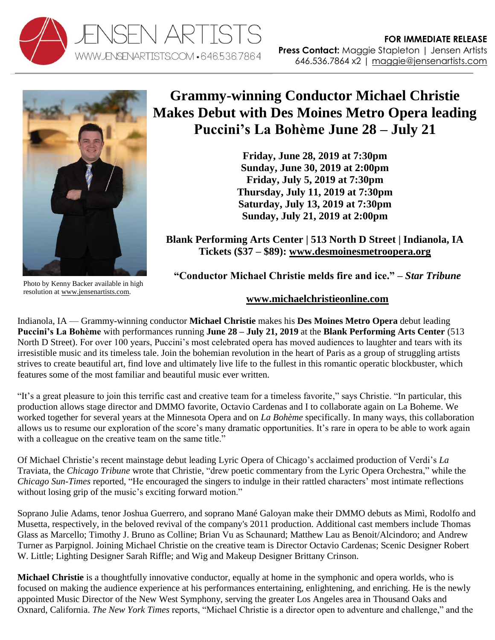



## **Grammy-winning Conductor Michael Christie Makes Debut with Des Moines Metro Opera leading Puccini's La Bohème June 28 – July 21**

**Friday, June 28, 2019 at 7:30pm Sunday, June 30, 2019 at 2:00pm Friday, July 5, 2019 at 7:30pm Thursday, July 11, 2019 at 7:30pm Saturday, July 13, 2019 at 7:30pm Sunday, July 21, 2019 at 2:00pm**

**Blank Performing Arts Center | 513 North D Street | Indianola, IA Tickets (\$37 – \$89): [www.desmoinesmetroopera.org](http://www.desmoinesmetroopera.org/)**

Photo by Kenny Backer available in high resolution at [www.jensenartists.com.](http://www.jensenartists.com/)

**"Conductor Michael Christie melds fire and ice." –** *Star Tribune*

## **[www.michaelchristieonline.com](http://www.michaelchristieonline.com/)**

Indianola, IA — Grammy-winning conductor **Michael Christie** makes his **Des Moines Metro Opera** debut leading **Puccini's La Bohème** with performances running **June 28 – July 21, 2019** at the **Blank Performing Arts Center** (513 North D Street). For over 100 years, Puccini's most celebrated opera has moved audiences to laughter and tears with its irresistible music and its timeless tale. Join the bohemian revolution in the heart of Paris as a group of struggling artists strives to create beautiful art, find love and ultimately live life to the fullest in this romantic operatic blockbuster, which features some of the most familiar and beautiful music ever written.

"It's a great pleasure to join this terrific cast and creative team for a timeless favorite," says Christie. "In particular, this production allows stage director and DMMO favorite, Octavio Cardenas and I to collaborate again on La Boheme. We worked together for several years at the Minnesota Opera and on *La Bohème* specifically. In many ways, this collaboration allows us to resume our exploration of the score's many dramatic opportunities. It's rare in opera to be able to work again with a colleague on the creative team on the same title."

Of Michael Christie's recent mainstage debut leading Lyric Opera of Chicago's acclaimed production of Verdi's *La* Traviata, the *Chicago Tribune* wrote that Christie, "drew poetic commentary from the Lyric Opera Orchestra," while the *Chicago Sun-Times* reported, "He encouraged the singers to indulge in their rattled characters' most intimate reflections without losing grip of the music's exciting forward motion."

Soprano Julie Adams, tenor Joshua Guerrero, and soprano Mané Galoyan make their DMMO debuts as Mimì, Rodolfo and Musetta, respectively, in the beloved revival of the company's 2011 production. Additional cast members include Thomas Glass as Marcello; Timothy J. Bruno as Colline; Brian Vu as Schaunard; Matthew Lau as Benoit/Alcindoro; and Andrew Turner as Parpignol. Joining Michael Christie on the creative team is Director Octavio Cardenas; Scenic Designer Robert W. Little; Lighting Designer Sarah Riffle; and Wig and Makeup Designer Brittany Crinson.

**Michael Christie** is a thoughtfully innovative conductor, equally at home in the symphonic and opera worlds, who is focused on making the audience experience at his performances entertaining, enlightening, and enriching. He is the newly appointed Music Director of the New West Symphony, serving the greater Los Angeles area in Thousand Oaks and Oxnard, California. *The New York Times* reports, "Michael Christie is a director open to adventure and challenge," and the